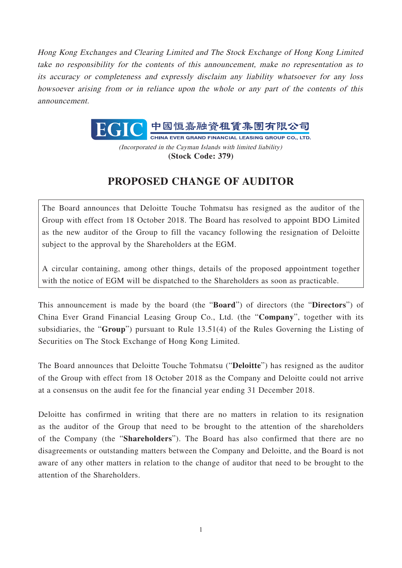Hong Kong Exchanges and Clearing Limited and The Stock Exchange of Hong Kong Limited take no responsibility for the contents of this announcement, make no representation as to its accuracy or completeness and expressly disclaim any liability whatsoever for any loss howsoever arising from or in reliance upon the whole or any part of the contents of this announcement.



(Incorporated in the Cayman Islands with limited liability) **(Stock Code: 379)**

## **PROPOSED CHANGE OF AUDITOR**

The Board announces that Deloitte Touche Tohmatsu has resigned as the auditor of the Group with effect from 18 October 2018. The Board has resolved to appoint BDO Limited as the new auditor of the Group to fill the vacancy following the resignation of Deloitte subject to the approval by the Shareholders at the EGM.

A circular containing, among other things, details of the proposed appointment together with the notice of EGM will be dispatched to the Shareholders as soon as practicable.

This announcement is made by the board (the "**Board**") of directors (the "**Directors**") of China Ever Grand Financial Leasing Group Co., Ltd. (the "**Company**", together with its subsidiaries, the "**Group**") pursuant to Rule 13.51(4) of the Rules Governing the Listing of Securities on The Stock Exchange of Hong Kong Limited.

The Board announces that Deloitte Touche Tohmatsu ("**Deloitte**") has resigned as the auditor of the Group with effect from 18 October 2018 as the Company and Deloitte could not arrive at a consensus on the audit fee for the financial year ending 31 December 2018.

Deloitte has confirmed in writing that there are no matters in relation to its resignation as the auditor of the Group that need to be brought to the attention of the shareholders of the Company (the "**Shareholders**"). The Board has also confirmed that there are no disagreements or outstanding matters between the Company and Deloitte, and the Board is not aware of any other matters in relation to the change of auditor that need to be brought to the attention of the Shareholders.